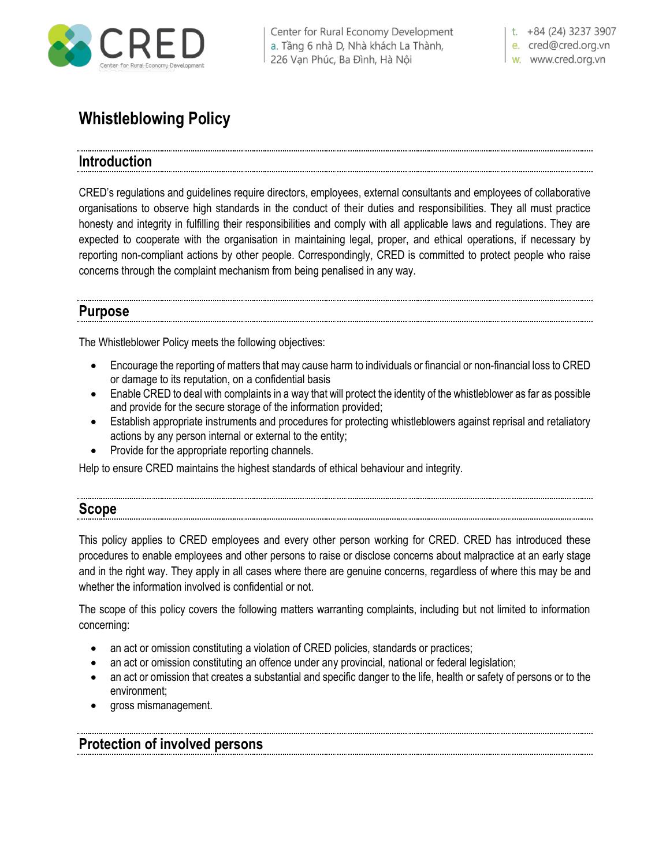

| Center for Rural Economy Development a. Tầng 6 nhà D, Nhà khách La Thành, 226 Vạn Phúc, Ba Đình, Hà Nội

t.  $+84(24)$  3237 3907

e. cred@cred.org.vn w. www.cred.org.vn

# **Whistleblowing Policy**

## **Introduction**

CRED's regulations and guidelines require directors, employees, external consultants and employees of collaborative organisations to observe high standards in the conduct of their duties and responsibilities. They all must practice honesty and integrity in fulfilling their responsibilities and comply with all applicable laws and regulations. They are expected to cooperate with the organisation in maintaining legal, proper, and ethical operations, if necessary by reporting non-compliant actions by other people. Correspondingly, CRED is committed to protect people who raise concerns through the complaint mechanism from being penalised in any way.

### **Purpose**

The Whistleblower Policy meets the following objectives:

- Encourage the reporting of matters that may cause harm to individuals or financial or non-financial loss to CRED or damage to its reputation, on a confidential basis
- Enable CRED to deal with complaints in a way that will protect the identity of the whistleblower as far as possible and provide for the secure storage of the information provided;
- Establish appropriate instruments and procedures for protecting whistleblowers against reprisal and retaliatory actions by any person internal or external to the entity;
- Provide for the appropriate reporting channels.

Help to ensure CRED maintains the highest standards of ethical behaviour and integrity.

#### **Scope**

This policy applies to CRED employees and every other person working for CRED. CRED has introduced these procedures to enable employees and other persons to raise or disclose concerns about malpractice at an early stage and in the right way. They apply in all cases where there are genuine concerns, regardless of where this may be and whether the information involved is confidential or not.

The scope of this policy covers the following matters warranting complaints, including but not limited to information concerning:

- an act or omission constituting a violation of CRED policies, standards or practices;
- an act or omission constituting an offence under any provincial, national or federal legislation;
- an act or omission that creates a substantial and specific danger to the life, health or safety of persons or to the environment;
- gross mismanagement.

# **Protection of involved persons**